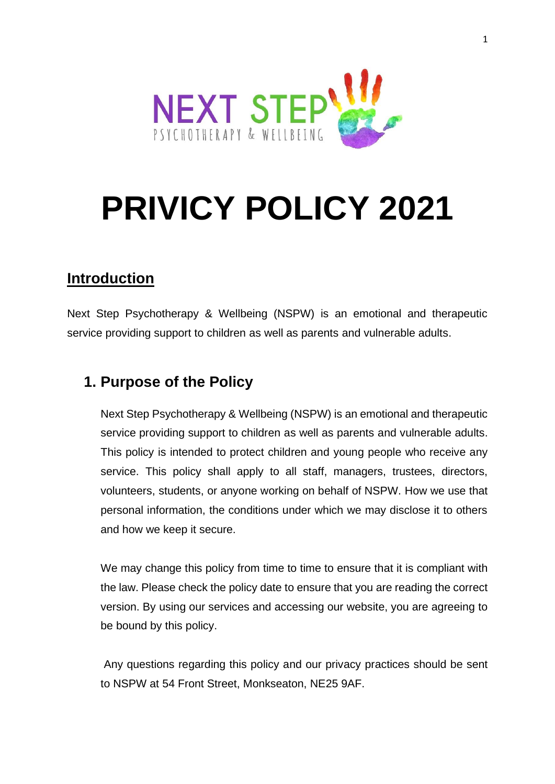

# **PRIVICY POLICY 2021**

# **Introduction**

Next Step Psychotherapy & Wellbeing (NSPW) is an emotional and therapeutic service providing support to children as well as parents and vulnerable adults.

# **1. Purpose of the Policy**

Next Step Psychotherapy & Wellbeing (NSPW) is an emotional and therapeutic service providing support to children as well as parents and vulnerable adults. This policy is intended to protect children and young people who receive any service. This policy shall apply to all staff, managers, trustees, directors, volunteers, students, or anyone working on behalf of NSPW. How we use that personal information, the conditions under which we may disclose it to others and how we keep it secure.

We may change this policy from time to time to ensure that it is compliant with the law. Please check the policy date to ensure that you are reading the correct version. By using our services and accessing our website, you are agreeing to be bound by this policy.

Any questions regarding this policy and our privacy practices should be sent to NSPW at 54 Front Street, Monkseaton, NE25 9AF.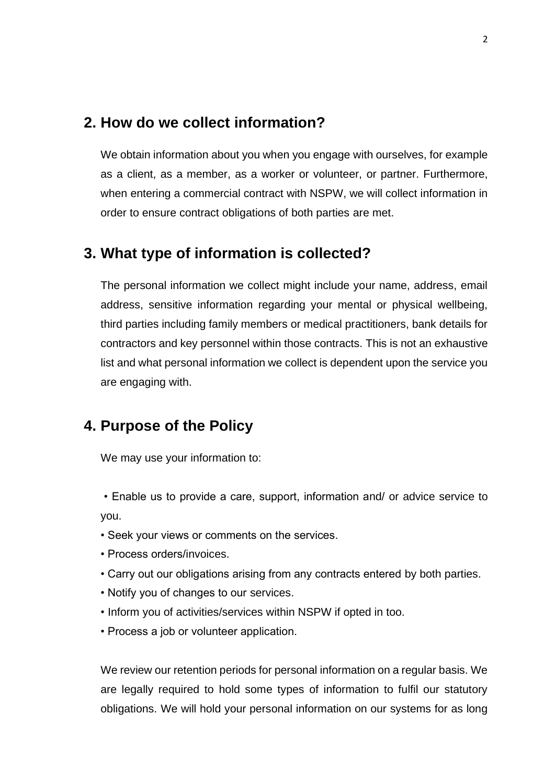### **2. How do we collect information?**

We obtain information about you when you engage with ourselves, for example as a client, as a member, as a worker or volunteer, or partner. Furthermore, when entering a commercial contract with NSPW, we will collect information in order to ensure contract obligations of both parties are met.

## **3. What type of information is collected?**

The personal information we collect might include your name, address, email address, sensitive information regarding your mental or physical wellbeing, third parties including family members or medical practitioners, bank details for contractors and key personnel within those contracts. This is not an exhaustive list and what personal information we collect is dependent upon the service you are engaging with.

# **4. Purpose of the Policy**

We may use your information to:

• Enable us to provide a care, support, information and/ or advice service to you.

- Seek your views or comments on the services.
- Process orders/invoices.
- Carry out our obligations arising from any contracts entered by both parties.
- Notify you of changes to our services.
- Inform you of activities/services within NSPW if opted in too.
- Process a job or volunteer application.

We review our retention periods for personal information on a regular basis. We are legally required to hold some types of information to fulfil our statutory obligations. We will hold your personal information on our systems for as long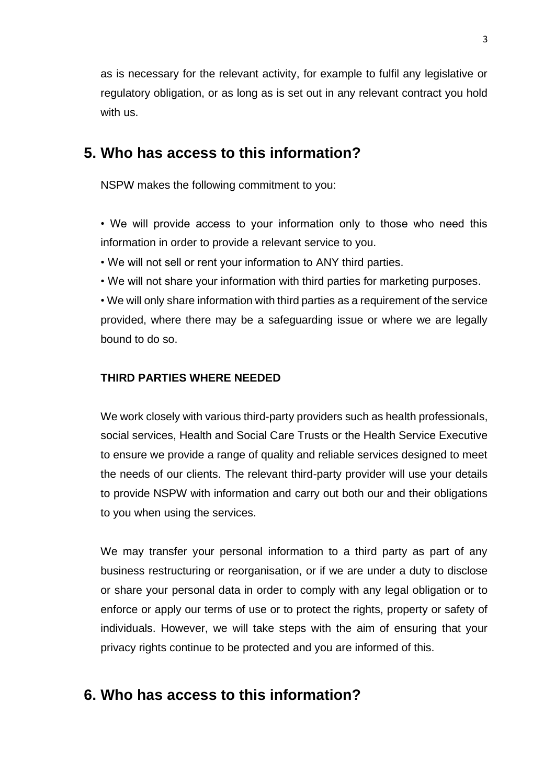as is necessary for the relevant activity, for example to fulfil any legislative or regulatory obligation, or as long as is set out in any relevant contract you hold with us.

## **5. Who has access to this information?**

NSPW makes the following commitment to you:

• We will provide access to your information only to those who need this information in order to provide a relevant service to you.

- We will not sell or rent your information to ANY third parties.
- We will not share your information with third parties for marketing purposes.

• We will only share information with third parties as a requirement of the service provided, where there may be a safeguarding issue or where we are legally bound to do so.

#### **THIRD PARTIES WHERE NEEDED**

We work closely with various third-party providers such as health professionals, social services, Health and Social Care Trusts or the Health Service Executive to ensure we provide a range of quality and reliable services designed to meet the needs of our clients. The relevant third-party provider will use your details to provide NSPW with information and carry out both our and their obligations to you when using the services.

We may transfer your personal information to a third party as part of any business restructuring or reorganisation, or if we are under a duty to disclose or share your personal data in order to comply with any legal obligation or to enforce or apply our terms of use or to protect the rights, property or safety of individuals. However, we will take steps with the aim of ensuring that your privacy rights continue to be protected and you are informed of this.

## **6. Who has access to this information?**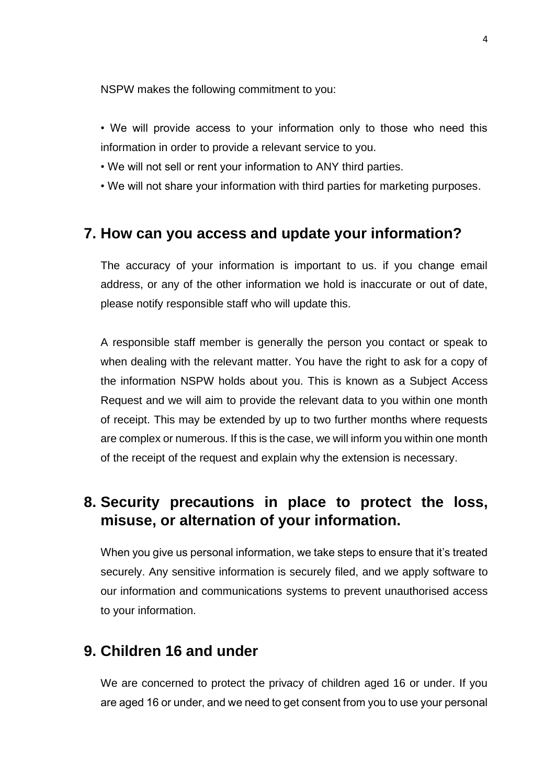NSPW makes the following commitment to you:

- We will provide access to your information only to those who need this information in order to provide a relevant service to you.
- We will not sell or rent your information to ANY third parties.
- We will not share your information with third parties for marketing purposes.

## **7. How can you access and update your information?**

The accuracy of your information is important to us. if you change email address, or any of the other information we hold is inaccurate or out of date, please notify responsible staff who will update this.

A responsible staff member is generally the person you contact or speak to when dealing with the relevant matter. You have the right to ask for a copy of the information NSPW holds about you. This is known as a Subject Access Request and we will aim to provide the relevant data to you within one month of receipt. This may be extended by up to two further months where requests are complex or numerous. If this is the case, we will inform you within one month of the receipt of the request and explain why the extension is necessary.

# **8. Security precautions in place to protect the loss, misuse, or alternation of your information.**

When you give us personal information, we take steps to ensure that it's treated securely. Any sensitive information is securely filed, and we apply software to our information and communications systems to prevent unauthorised access to your information.

## **9. Children 16 and under**

We are concerned to protect the privacy of children aged 16 or under. If you are aged 16 or under, and we need to get consent from you to use your personal